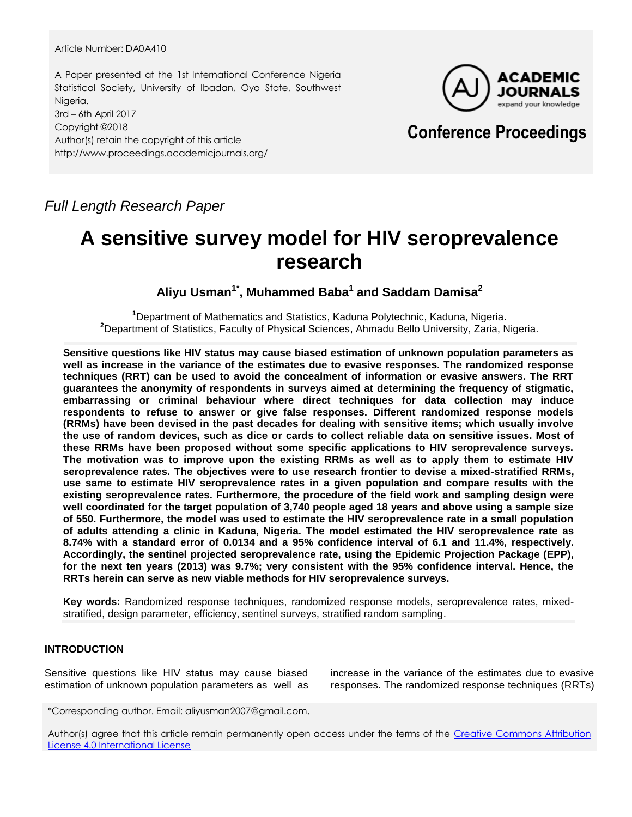## Article Number: DA0A410

A Paper presented at the 1st International Conference Nigeria Statistical Society, University of Ibadan, Oyo State, Southwest Nigeria. 3rd – 6th April 2017 Copyright ©2018 Author(s) retain the copyright of this article http://www.proceedings.academicjournals.org/



# **Conference Proceedings**

*Full Length Research Paper*

# **A sensitive survey model for HIV seroprevalence research**

**Aliyu Usman1\* , Muhammed Baba<sup>1</sup> and Saddam Damisa<sup>2</sup>**

**<sup>1</sup>**Department of Mathematics and Statistics, Kaduna Polytechnic, Kaduna, Nigeria. **<sup>2</sup>**Department of Statistics, Faculty of Physical Sciences, Ahmadu Bello University, Zaria, Nigeria.

**Sensitive questions like HIV status may cause biased estimation of unknown population parameters as well as increase in the variance of the estimates due to evasive responses. The randomized response techniques (RRT) can be used to avoid the concealment of information or evasive answers. The RRT guarantees the anonymity of respondents in surveys aimed at determining the frequency of stigmatic, embarrassing or criminal behaviour where direct techniques for data collection may induce respondents to refuse to answer or give false responses. Different randomized response models (RRMs) have been devised in the past decades for dealing with sensitive items; which usually involve the use of random devices, such as dice or cards to collect reliable data on sensitive issues. Most of these RRMs have been proposed without some specific applications to HIV seroprevalence surveys. The motivation was to improve upon the existing RRMs as well as to apply them to estimate HIV seroprevalence rates. The objectives were to use research frontier to devise a mixed-stratified RRMs, use same to estimate HIV seroprevalence rates in a given population and compare results with the existing seroprevalence rates. Furthermore, the procedure of the field work and sampling design were well coordinated for the target population of 3,740 people aged 18 years and above using a sample size of 550. Furthermore, the model was used to estimate the HIV seroprevalence rate in a small population of adults attending a clinic in Kaduna, Nigeria. The model estimated the HIV seroprevalence rate as 8.74% with a standard error of 0.0134 and a 95% confidence interval of 6.1 and 11.4%, respectively. Accordingly, the sentinel projected seroprevalence rate, using the Epidemic Projection Package (EPP), for the next ten years (2013) was 9.7%; very consistent with the 95% confidence interval. Hence, the RRTs herein can serve as new viable methods for HIV seroprevalence surveys.**

**Key words:** Randomized response techniques, randomized response models, seroprevalence rates, mixedstratified, design parameter, efficiency, sentinel surveys, stratified random sampling.

# **INTRODUCTION**

Sensitive questions like HIV status may cause biased estimation of unknown population parameters as well as increase in the variance of the estimates due to evasive responses. The randomized response techniques (RRTs)

\*Corresponding author. Email: aliyusman2007@gmail.com.

Author(s) agree that this article remain permanently open access under the terms of the Creative Commons Attribution [License 4.0 International License](http://creativecommons.org/licenses/by/4.0/deed.en_US)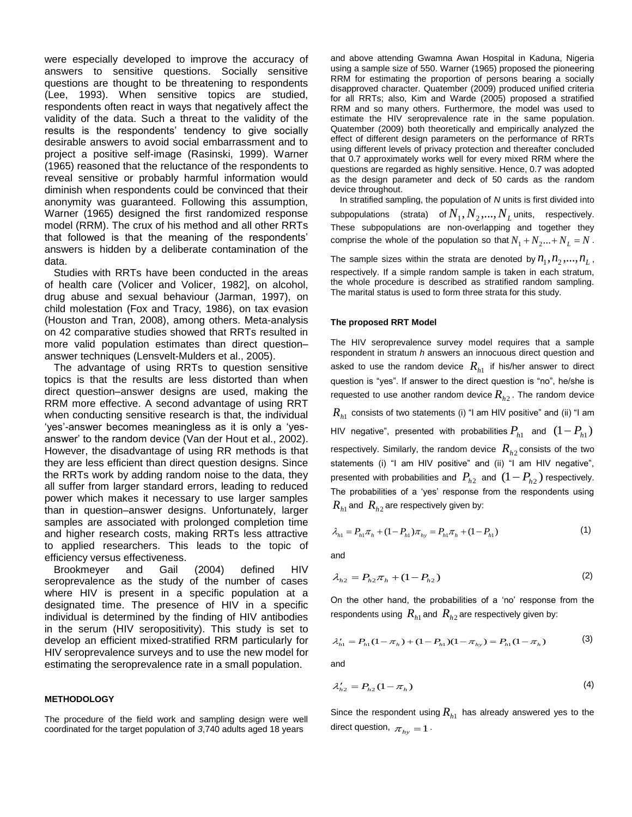were especially developed to improve the accuracy of answers to sensitive questions. Socially sensitive questions are thought to be threatening to respondents (Lee, 1993). When sensitive topics are studied, respondents often react in ways that negatively affect the validity of the data. Such a threat to the validity of the results is the respondents' tendency to give socially desirable answers to avoid social embarrassment and to project a positive self-image (Rasinski, 1999). Warner (1965) reasoned that the reluctance of the respondents to reveal sensitive or probably harmful information would diminish when respondents could be convinced that their anonymity was guaranteed. Following this assumption, Warner (1965) designed the first randomized response model (RRM). The crux of his method and all other RRTs that followed is that the meaning of the respondents" answers is hidden by a deliberate contamination of the data.

Studies with RRTs have been conducted in the areas of health care (Volicer and Volicer, 1982], on alcohol, drug abuse and sexual behaviour (Jarman, 1997), on child molestation (Fox and Tracy, 1986), on tax evasion (Houston and Tran, 2008), among others. Meta-analysis on 42 comparative studies showed that RRTs resulted in more valid population estimates than direct question– answer techniques (Lensvelt-Mulders et al., 2005).

The advantage of using RRTs to question sensitive topics is that the results are less distorted than when direct question–answer designs are used, making the RRM more effective. A second advantage of using RRT when conducting sensitive research is that, the individual "yes"-answer becomes meaningless as it is only a "yesanswer" to the random device (Van der Hout et al., 2002). However, the disadvantage of using RR methods is that they are less efficient than direct question designs. Since the RRTs work by adding random noise to the data, they all suffer from larger standard errors, leading to reduced power which makes it necessary to use larger samples than in question–answer designs. Unfortunately, larger samples are associated with prolonged completion time and higher research costs, making RRTs less attractive to applied researchers. This leads to the topic of efficiency versus effectiveness.

Brookmeyer and Gail (2004) defined HIV seroprevalence as the study of the number of cases where HIV is present in a specific population at a designated time. The presence of HIV in a specific individual is determined by the finding of HIV antibodies in the serum (HIV seropositivity). This study is set to develop an efficient mixed-stratified RRM particularly for HIV seroprevalence surveys and to use the new model for estimating the seroprevalence rate in a small population.

## **METHODOLOGY**

The procedure of the field work and sampling design were well coordinated for the target population of *3*,740 adults aged 18 years

and above attending Gwamna Awan Hospital in Kaduna, Nigeria using a sample size of 550. Warner (1965) proposed the pioneering RRM for estimating the proportion of persons bearing a socially disapproved character. Quatember (2009) produced unified criteria for all RRTs; also, Kim and Warde (2005) proposed a stratified RRM and so many others. Furthermore, the model was used to estimate the HIV seroprevalence rate in the same population. Quatember (2009) both theoretically and empirically analyzed the effect of different design parameters on the performance of RRTs using different levels of privacy protection and thereafter concluded that 0.7 approximately works well for every mixed RRM where the questions are regarded as highly sensitive. Hence, 0.7 was adopted as the design parameter and deck of 50 cards as the random device throughout.

In stratified sampling, the population of *N* units is first divided into  $\mathsf{subpopulations} \quad \text{(strata)} \quad \text{of} \, N_1, N_2, \! ... , N_L \, \text{units}, \quad \text{respectively.}$ These subpopulations are non-overlapping and together they comprise the whole of the population so that  $N_1 + N_2 ... + N_L = N$ .

The sample sizes within the strata are denoted by  $n_1, n_2, ..., n_L$ , respectively. If a simple random sample is taken in each stratum, the whole procedure is described as stratified random sampling. The marital status is used to form three strata for this study.

#### **The proposed RRT Model**

The HIV seroprevalence survey model requires that a sample respondent in stratum *h* answers an innocuous direct question and asked to use the random device  $R_{h1}^+$  if his/her answer to direct question is "yes". If answer to the direct question is "no", he/she is requested to use another random device *Rh*<sup>2</sup> . The random device  $R_{h1}^{\phantom{h1}}$  consists of two statements (i) "I am HIV positive" and (ii) "I am HIV negative", presented with probabilities  $P_{h1}$  and  $(1 - P_{h1})$ respectively. Similarly, the random device  $R_{h2}$  consists of the two statements (i) "I am HIV positive" and (ii) "I am HIV negative", presented with probabilities and  $P_{h2}$  and  $(1 - P_{h2})$  respectively. The probabilities of a 'yes' response from the respondents using  $R_{\scriptscriptstyle h1}$  and  $\ R_{\scriptscriptstyle h2}$  are respectively given by:

$$
\lambda_{h1} = P_{h1}\pi_h + (1 - P_{h1})\pi_{hy} = P_{h1}\pi_h + (1 - P_{h1})
$$
\n(1)

and

$$
\lambda_{h2} = P_{h2}\pi_h + (1 - P_{h2})
$$
 (2)

On the other hand, the probabilities of a "no" response from the respondents using  $\,R_{h1}^{}$  and  $\,R_{h2}^{}$  are respectively given by:

$$
\lambda'_{h1} = P_{h1}(1 - \pi_h) + (1 - P_{h1})(1 - \pi_{hy}) = P_{h1}(1 - \pi_h)
$$
 (3)

and

$$
\lambda'_{h2} = P_{h2} (1 - \pi_h) \tag{4}
$$

Since the respondent using  $R_{h1}$  has already answered yes to the direct question,  $\pi_{\overline{h}y} = 1$ .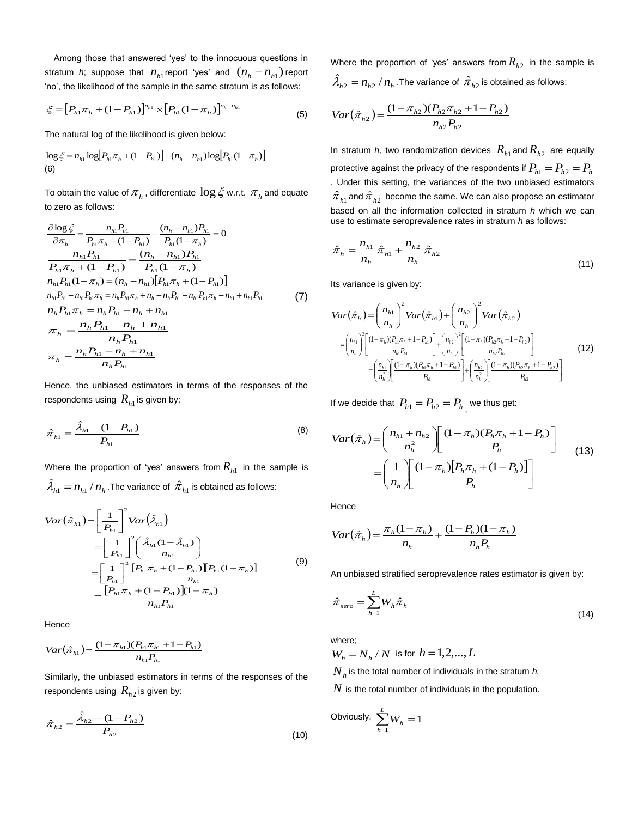Among those that answered "yes" to the innocuous questions in stratum *h*; suppose that  $n_{h1}$  report 'yes' and  $(n_h - n_{h1})$  report 'no', the likelihood of the sample in the same stratum is as follows:

$$
\xi = [P_{h1}\pi_h + (1 - P_{h1})]^{n_{h1}} \times [P_{h1}(1 - \pi_h)]^{n_h - n_{h1}}
$$
\n(5)

The natural log of the likelihood is given below:

$$
\log \xi = n_{h1} \log [P_{h1} \pi_h + (1 - P_{h1})] + (n_h - n_{h1}) \log [P_{h1} (1 - \pi_h)]
$$
  
(6)

To obtain the value of  $\pi_{_h}$  , differentiate  $\log \xi$  w.r.t.  $\pi_{_h}$  and equate to zero as follows:

$$
\frac{\partial \log \xi}{\partial \pi_h} = \frac{n_{h1}P_{h1}}{P_{h1}\pi_h + (1 - P_{h1})} - \frac{(n_h - n_{h1})P_{h1}}{P_{h1}(1 - \pi_h)} = 0
$$
\n
$$
\frac{n_{h1}P_{h1}}{P_{h1}\pi_h + (1 - P_{h1})} = \frac{(n_h - n_{h1})P_{h1}}{P_{h1}(1 - \pi_h)}
$$
\n
$$
n_{h1}P_{h1}(1 - \pi_h) = (n_h - n_{h1})[P_{h1}\pi_h + (1 - P_{h1})]
$$
\n
$$
n_{h1}P_{h1} - n_{h1}P_{h1}\pi_h = n_h P_{h1}\pi_h + n_h - n_h P_{h1} - n_{h1}P_{h1}\pi_h - n_{h1} + n_{h1}P_{h1}
$$
\n
$$
n_h P_{h1}\pi_h = n_h P_{h1} - n_h + n_{h1}
$$
\n
$$
\pi_h = \frac{n_h P_{h1} - n_h + n_{h1}}{n_h P_{h1}}
$$
\n
$$
\pi_h = \frac{n_h P_{h1} - n_h + n_{h1}}{n_h P_{h1}}
$$

Hence, the unbiased estimators in terms of the responses of the respondents using  $\,R_{h1}^{}$  is given by:

$$
\hat{\pi}_{h1} = \frac{\hat{\lambda}_{h1} - (1 - P_{h1})}{P_{h1}} \tag{8}
$$

Where the proportion of 'yes' answers from  $R_{h1}$  in the sample is  $\hat{\lambda}_{h1} = n_{h1}$  /  $n_h$  .The variance of  $\hat{\pi}_{h1}$  is obtained as follows:

$$
Var(\hat{\pi}_{h1}) = \left[\frac{1}{P_{h1}}\right]^2 Var(\hat{\lambda}_{h1})
$$
  
\n
$$
= \left[\frac{1}{P_{h1}}\right]^2 \left(\frac{\hat{\lambda}_{h1}(1-\hat{\lambda}_{h1})}{n_{h1}}\right)
$$
  
\n
$$
= \left[\frac{1}{P_{h1}}\right]^2 \frac{[P_{h1}\pi_h + (1-P_{h1})][P_{h1}(1-\pi_h)]}{n_{h1}}
$$
  
\n
$$
= \frac{[P_{h1}\pi_h + (1-P_{h1})](1-\pi_h)}{n_{h1}P_{h1}}
$$
  
\n(9)

**Hence** 

$$
Var(\hat{\pi}_{h1}) = \frac{(1 - \pi_{h1})(P_{h1}\pi_{h1} + 1 - P_{h1})}{n_{h1}P_{h1}}
$$

Similarly, the unbiased estimators in terms of the responses of the respondents using  $\,R_{h2}^{}$  is given by:

$$
\hat{\pi}_{h2} = \frac{\hat{\lambda}_{h2} - (1 - P_{h2})}{P_{h2}}
$$
\n(10)

Where the proportion of 'yes' answers from  $R_{h2}$  in the sample is  $\hat{\lambda}_{h2} = n_{h2}^{\phantom{\dag}}/\,n_h^{\phantom{\dag}}$  .The variance of  $\hat{\pi}_{h2}^{\phantom{\dag}}$  is obtained as follows:

$$
Var(\hat{\pi}_{h2}) = \frac{(1 - \pi_{h2})(P_{h2}\pi_{h2} + 1 - P_{h2})}{n_{h2}P_{h2}}
$$

In stratum *h*, two randomization devices  $R_{h1}$  and  $R_{h2}$  are equally protective against the privacy of the respondents if  $P_{h1} = P_{h2} = P_h$ . Under this setting, the variances of the two unbiased estimators  $\hat{\pi}_{\scriptscriptstyle h1}$  and  $\hat{\pi}_{\scriptscriptstyle h2}$  become the same. We can also propose an estimator based on all the information collected in stratum *h* which we can use to estimate seroprevalence rates in stratum *h* as follows:

$$
\hat{\pi}_h = \frac{n_{h1}}{n_h} \hat{\pi}_{h1} + \frac{n_{h2}}{n_h} \hat{\pi}_{h2}
$$
\n(11)

Its variance is given by:

$$
Var(\hat{\pi}_{h}) = \left(\frac{n_{h1}}{n_{h}}\right)^{2} Var(\hat{\pi}_{h1}) + \left(\frac{n_{h2}}{n_{h}}\right)^{2} Var(\hat{\pi}_{h2})
$$
  
\n
$$
= \left(\frac{n_{h1}}{n_{h}}\right)^{2} \left[\frac{(1-\pi_{h})(P_{h1}\pi_{h}+1-P_{h1})}{n_{h1}P_{h1}}\right] + \left(\frac{n_{h2}}{n_{h}}\right)^{2} \left[\frac{(1-\pi_{h})(P_{h2}\pi_{h}+1-P_{h2})}{n_{h2}P_{h2}}\right]
$$
  
\n
$$
= \left(\frac{n_{h1}}{n_{h}^{2}}\right) \left[\frac{(1-\pi_{h})(P_{h1}\pi_{h}+1-P_{h1})}{P_{h1}}\right] + \left(\frac{n_{h2}}{n_{h}^{2}}\right) \left[\frac{(1-\pi_{h})(P_{h2}\pi_{h}+1-P_{h2})}{P_{h2}}\right]
$$
(12)

If we decide that  $P_{h1} = P_{h2} = P_h$ <sub>,</sub> we thus get:

$$
Var(\hat{\pi}_h) = \left(\frac{n_{h1} + n_{h2}}{n_h^2}\right) \left[\frac{(1 - \pi_h)(P_h \pi_h + 1 - P_h)}{P_h}\right]
$$
  
=  $\left(\frac{1}{n_h}\right) \left[\frac{(1 - \pi_h)[P_h \pi_h + (1 - P_h)]}{P_h}\right]$  (13)

**Hence** 

$$
Var(\hat{\pi}_h) = \frac{\pi_h (1 - \pi_h)}{n_h} + \frac{(1 - P_h)(1 - \pi_h)}{n_h P_h}
$$

An unbiased stratified seroprevalence rates estimator is given by:

$$
\hat{\pi}_{sero} = \sum_{h=1}^{L} W_h \hat{\pi}_h
$$
\n(14)

where;

 $W_h = N_h / N$  is for  $h = 1, 2, ..., L$ 

 $\overline{N}_h$  is the total number of individuals in the stratum  $\overline{h}.$ 

 $N$  is the total number of individuals in the population.

Obviously, 
$$
\sum_{h=1}^{L} W_h = 1
$$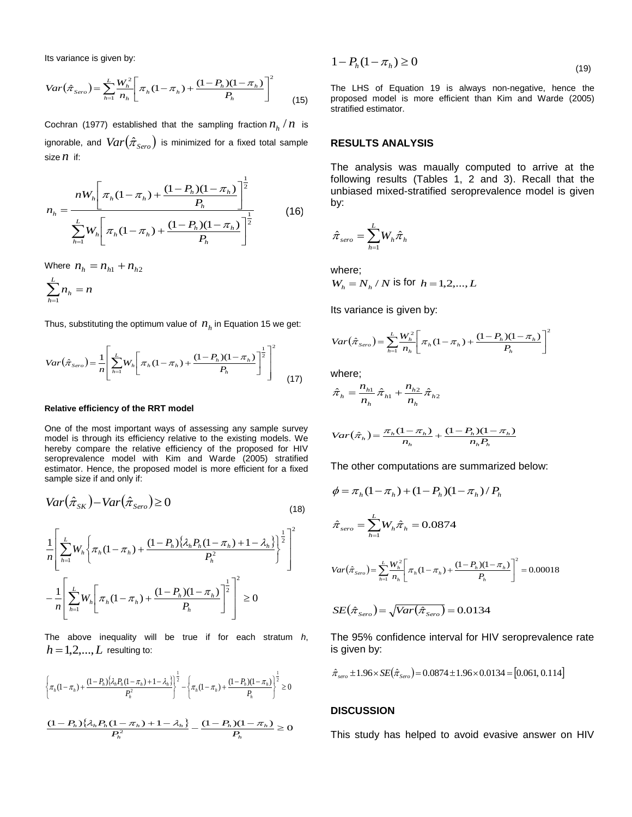Its variance is given by:

$$
Var(\hat{\pi}_{Sero}) = \sum_{h=1}^{L} \frac{W_h^2}{n_h} \left[ \pi_h (1 - \pi_h) + \frac{(1 - P_h)(1 - \pi_h)}{P_h} \right]^2 \tag{15}
$$

Cochran (1977) established that the sampling fraction  $n_h / n$  is ignorable, and  $Var(\hat{\pi}_{\textit{Sero}})$  is minimized for a fixed total sample size *n* if:

$$
n_h = \frac{nW_h \left[ \pi_h (1 - \pi_h) + \frac{(1 - P_h)(1 - \pi_h)}{P_h} \right]^{\frac{1}{2}}}{\sum_{h=1}^{L} W_h \left[ \pi_h (1 - \pi_h) + \frac{(1 - P_h)(1 - \pi_h)}{P_h} \right]^{\frac{1}{2}}}
$$
(16)

Where  $n_{h} = n_{h1} + n_{h2}$ 

$$
\sum_{h=1}^L n_h = n
$$

Thus, substituting the optimum value of  $n_h^+$  in Equation 15 we get:

$$
Var(\hat{\pi}_{Sero}) = \frac{1}{n} \left[ \sum_{h=1}^{L} W_h \left[ \pi_h (1 - \pi_h) + \frac{(1 - P_h)(1 - \pi_h)}{P_h} \right]^{2} \right]^{2}
$$
(17)

#### **Relative efficiency of the RRT model**

One of the most important ways of assessing any sample survey model is through its efficiency relative to the existing models. We hereby compare the relative efficiency of the proposed for HIV seroprevalence model with Kim and Warde (2005) stratified estimator. Hence, the proposed model is more efficient for a fixed sample size if and only if:

$$
Var(\hat{\pi}_{SK}) - Var(\hat{\pi}_{Sero}) \ge 0
$$
\n(18)

$$
\frac{1}{n} \left[ \sum_{h=1}^{L} W_h \left\{ \pi_h (1 - \pi_h) + \frac{(1 - P_h) \left\{ \lambda_h P_h (1 - \pi_h) + 1 - \lambda_h \right\}}{P_h^2} \right\}^{\frac{1}{2}} \right]^2
$$
  

$$
- \frac{1}{n} \left[ \sum_{h=1}^{L} W_h \left[ \pi_h (1 - \pi_h) + \frac{(1 - P_h)(1 - \pi_h)}{P_h} \right]^{\frac{1}{2}} \right]^2 \ge 0
$$

The above inequality will be true if for each stratum *h*,  $h = 1, 2, ..., L$  resulting to:

$$
\left\{\pi_h(1-\pi_h) + \frac{(1-P_h)\{\lambda_h P_h(1-\pi_h) + 1-\lambda_h\}}{P_h^2}\right\}^{\frac{1}{2}} - \left\{\pi_h(1-\pi_h) + \frac{(1-P_h)(1-\pi_h)}{P_h}\right\}^{\frac{1}{2}} \ge 0
$$
  

$$
\frac{(1-P_h)\{\lambda_h P_h(1-\pi_h) + 1-\lambda_h\}}{P_h^2} - \frac{(1-P_h)(1-\pi_h)}{P_h} \ge 0
$$

$$
1 - P_h(1 - \pi_h) \ge 0 \tag{19}
$$

The LHS of Equation 19 is always non-negative, hence the proposed model is more efficient than Kim and Warde (2005) stratified estimator.

## **RESULTS ANALYSIS**

The analysis was maually computed to arrive at the following results (Tables 1, 2 and 3). Recall that the unbiased mixed-stratified seroprevalence model is given by:

$$
\hat{\pi}_{\textit{sero}} = \sum_{h=1}^L W_h \hat{\pi}_h
$$

where;

$$
W_h = N_h / N
$$
 is for  $h = 1, 2, ..., L$ 

Its variance is given by:

$$
Var(\hat{\pi}_{Sero}) = \sum_{h=1}^{L} \frac{W_h^2}{n_h} \left[ \pi_h (1 - \pi_h) + \frac{(1 - P_h)(1 - \pi_h)}{P_h} \right]^2
$$

where;

$$
\hat{\pi}_{h} = \frac{n_{h1}}{n_{h}} \hat{\pi}_{h1} + \frac{n_{h2}}{n_{h}} \hat{\pi}_{h2}
$$

$$
Var(\hat{\pi}_h) = \frac{\pi_h (1 - \pi_h)}{n_h} + \frac{(1 - P_h)(1 - \pi_h)}{n_h P_h}
$$

The other computations are summarized below:

$$
\phi = \pi_h (1 - \pi_h) + (1 - P_h)(1 - \pi_h) / P_h
$$
\n
$$
\hat{\pi}_{sero} = \sum_{h=1}^{L} W_h \hat{\pi}_h = 0.0874
$$
\n
$$
Var(\hat{\pi}_{sero}) = \sum_{h=1}^{L} \frac{W_h^2}{n_h} \left[ \pi_h (1 - \pi_h) + \frac{(1 - P_h)(1 - \pi_h)}{P_h} \right]^2 = 0.00018
$$
\n
$$
SE(\hat{\pi}_{Sero}) = \sqrt{Var(\hat{\pi}_{Sero})} = 0.0134
$$

The 95% confidence interval for HIV seroprevalence rate is given by:

$$
\hat{\pi}_{\text{zero}} \pm 1.96 \times SE(\hat{\pi}_{\text{zero}}) = 0.0874 \pm 1.96 \times 0.0134 = [0.061, 0.114]
$$

## **DISCUSSION**

This study has helped to avoid evasive answer on HIV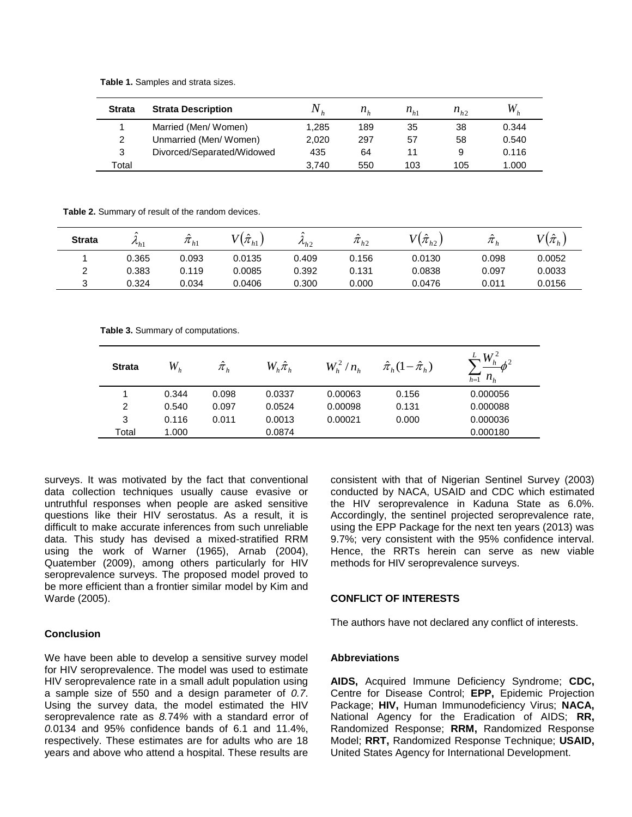**Table 1.** Samples and strata sizes.

| <b>Strata</b> | <b>Strata Description</b>  |       | $n_{\mu}$ | $n_{h1}$ | $n_{h2}$ | W.    |
|---------------|----------------------------|-------|-----------|----------|----------|-------|
|               | Married (Men/Women)        | 1.285 | 189       | 35       | 38       | 0.344 |
| 2             | Unmarried (Men/Women)      | 2.020 | 297       | 57       | 58       | 0.540 |
| 3             | Divorced/Separated/Widowed | 435   | 64        | 11       | 9        | 0.116 |
| Total         |                            | 3.740 | 550       | 103      | 105      | 1.000 |

**Table 2.** Summary of result of the random devices.

| <b>Strata</b> | $\sim$<br>$\mathcal{L}_{h}$ | $\sim$<br>$\pi_{h1}$ | $\sqrt{\hat{\pi}}_{h1}$ | $\sim$<br>$\mu_{h2}$ | $\pi_{h2}$ | $V(\hat{\pi}_{h2})$ | $\bar{\pi}_h$ | $V(\hat{\pi}_{h})$ |
|---------------|-----------------------------|----------------------|-------------------------|----------------------|------------|---------------------|---------------|--------------------|
|               | 0.365                       | 0.093                | 0.0135                  | 0.409                | 0.156      | 0.0130              | 0.098         | 0.0052             |
| C             | 0.383                       | 0.119                | 0.0085                  | 0.392                | 0.131      | 0.0838              | 0.097         | 0.0033             |
|               | 0.324                       | 0.034                | 0.0406                  | 0.300                | 0.000      | 0.0476              | 0.011         | 0.0156             |

**Table 3.** Summary of computations.

| <b>Strata</b> | $W_h$ | $\hat{\pi}_{_h}$ | $W_h^{}\hat{\pi}_h^{}$ | $W_h^2/n_h$ | $\hat{\pi}_{h}$ $(1-\hat{\pi}_{h})$ | $W^2$<br>$n_h$<br>$h=1$ |
|---------------|-------|------------------|------------------------|-------------|-------------------------------------|-------------------------|
|               | 0.344 | 0.098            | 0.0337                 | 0.00063     | 0.156                               | 0.000056                |
| 2             | 0.540 | 0.097            | 0.0524                 | 0.00098     | 0.131                               | 0.000088                |
| 3             | 0.116 | 0.011            | 0.0013                 | 0.00021     | 0.000                               | 0.000036                |
| Total         | 1.000 |                  | 0.0874                 |             |                                     | 0.000180                |

surveys. It was motivated by the fact that conventional data collection techniques usually cause evasive or untruthful responses when people are asked sensitive questions like their HIV serostatus. As a result, it is difficult to make accurate inferences from such unreliable data. This study has devised a mixed-stratified RRM using the work of Warner (1965), Arnab (2004), Quatember (2009), among others particularly for HIV seroprevalence surveys. The proposed model proved to be more efficient than a frontier similar model by Kim and Warde (2005).

## **Conclusion**

We have been able to develop a sensitive survey model for HIV seroprevalence. The model was used to estimate HIV seroprevalence rate in a small adult population using a sample size of 550 and a design parameter of *0.7*. Using the survey data, the model estimated the HIV seroprevalence rate as *8.*74*%* with a standard error of *0.*0134 and 95% confidence bands of 6.1 and 11.4%, respectively. These estimates are for adults who are 18 years and above who attend a hospital. These results are consistent with that of Nigerian Sentinel Survey (2003) conducted by NACA, USAID and CDC which estimated the HIV seroprevalence in Kaduna State as 6.0%. Accordingly, the sentinel projected seroprevalence rate, using the EPP Package for the next ten years (2013) was 9.7%; very consistent with the 95% confidence interval. Hence, the RRTs herein can serve as new viable methods for HIV seroprevalence surveys.

## **CONFLICT OF INTERESTS**

The authors have not declared any conflict of interests.

## **Abbreviations**

**AIDS,** Acquired Immune Deficiency Syndrome; **CDC,** Centre for Disease Control; **EPP,** Epidemic Projection Package; **HIV,** Human Immunodeficiency Virus; **NACA,** National Agency for the Eradication of AIDS; **RR,** Randomized Response; **RRM,** Randomized Response Model; **RRT,** Randomized Response Technique; **USAID,** United States Agency for International Development.